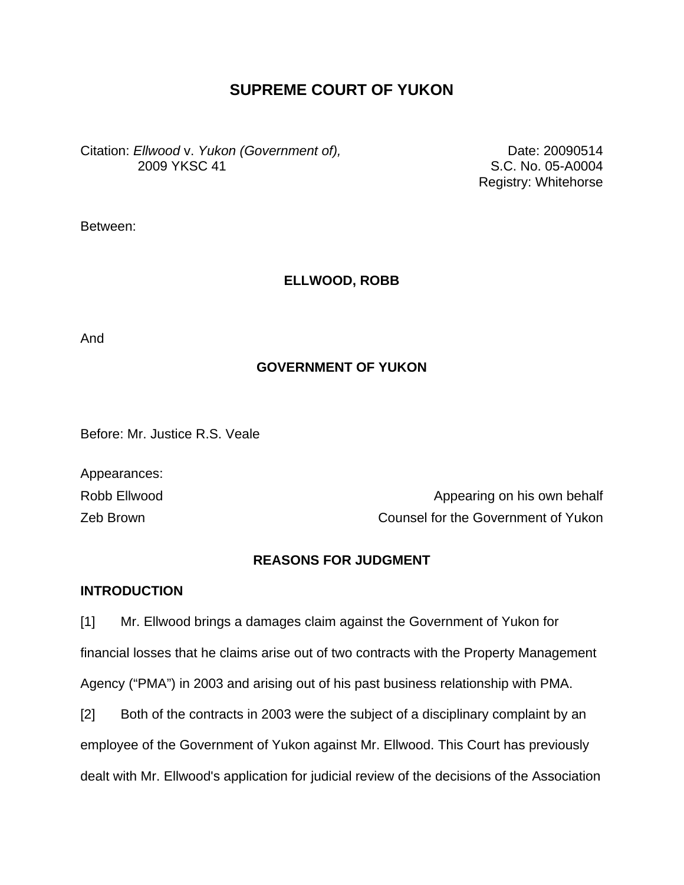# **SUPREME COURT OF YUKON**

Citation: *Ellwood* v. *Yukon (Government of),*  2009 YKSC 41

Date: 20090514 S.C. No. 05-A0004 Registry: Whitehorse

Between:

## **ELLWOOD, ROBB**

And

## **GOVERNMENT OF YUKON**

Before: Mr. Justice R.S. Veale

Appearances:

Robb Ellwood **Appearing on his own behalf** Zeb Brown Counsel for the Government of Yukon

## **REASONS FOR JUDGMENT**

## **INTRODUCTION**

[1] Mr. Ellwood brings a damages claim against the Government of Yukon for financial losses that he claims arise out of two contracts with the Property Management Agency ("PMA") in 2003 and arising out of his past business relationship with PMA.

[2] Both of the contracts in 2003 were the subject of a disciplinary complaint by an employee of the Government of Yukon against Mr. Ellwood. This Court has previously dealt with Mr. Ellwood's application for judicial review of the decisions of the Association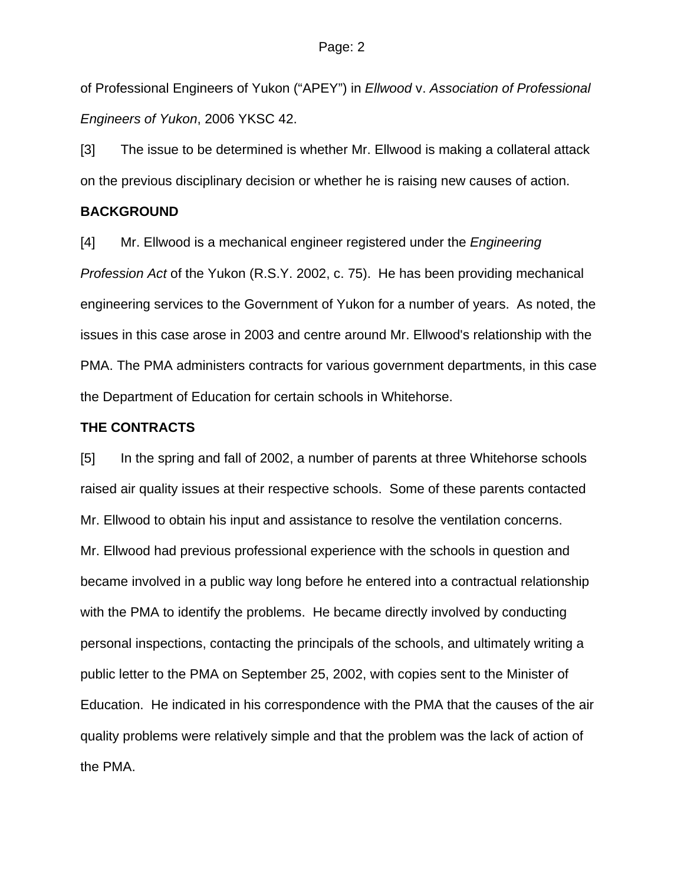of Professional Engineers of Yukon ("APEY") in *Ellwood* v. *Association of Professional Engineers of Yukon*, 2006 YKSC 42.

[3] The issue to be determined is whether Mr. Ellwood is making a collateral attack on the previous disciplinary decision or whether he is raising new causes of action.

### **BACKGROUND**

[4] Mr. Ellwood is a mechanical engineer registered under the *Engineering Profession Act* of the Yukon (R.S.Y. 2002, c. 75). He has been providing mechanical engineering services to the Government of Yukon for a number of years. As noted, the issues in this case arose in 2003 and centre around Mr. Ellwood's relationship with the PMA. The PMA administers contracts for various government departments, in this case the Department of Education for certain schools in Whitehorse.

## **THE CONTRACTS**

[5] In the spring and fall of 2002, a number of parents at three Whitehorse schools raised air quality issues at their respective schools. Some of these parents contacted Mr. Ellwood to obtain his input and assistance to resolve the ventilation concerns. Mr. Ellwood had previous professional experience with the schools in question and became involved in a public way long before he entered into a contractual relationship with the PMA to identify the problems. He became directly involved by conducting personal inspections, contacting the principals of the schools, and ultimately writing a public letter to the PMA on September 25, 2002, with copies sent to the Minister of Education. He indicated in his correspondence with the PMA that the causes of the air quality problems were relatively simple and that the problem was the lack of action of the PMA.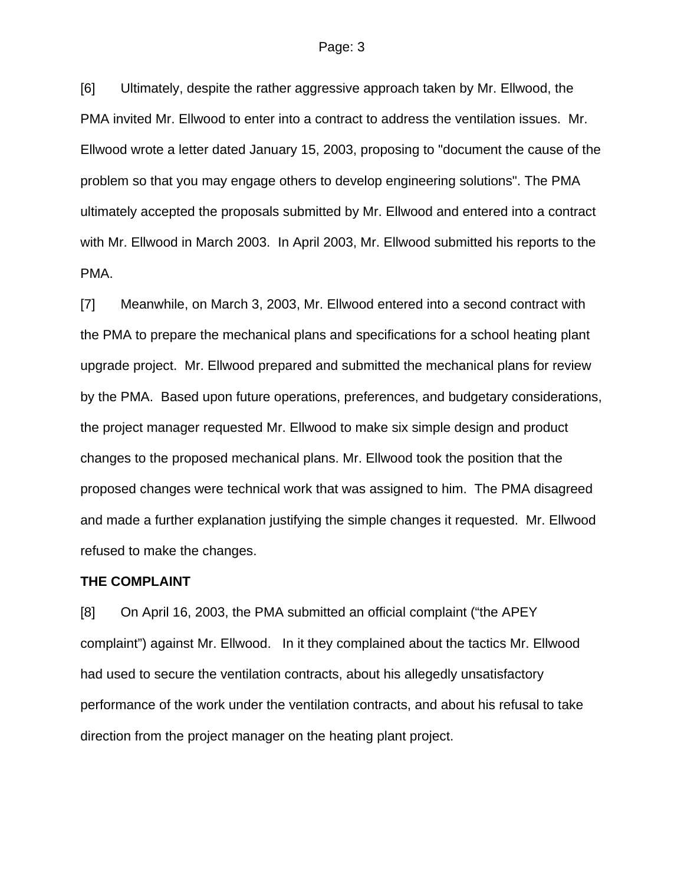[6] Ultimately, despite the rather aggressive approach taken by Mr. Ellwood, the PMA invited Mr. Ellwood to enter into a contract to address the ventilation issues. Mr. Ellwood wrote a letter dated January 15, 2003, proposing to "document the cause of the problem so that you may engage others to develop engineering solutions". The PMA ultimately accepted the proposals submitted by Mr. Ellwood and entered into a contract with Mr. Ellwood in March 2003. In April 2003, Mr. Ellwood submitted his reports to the PMA.

[7] Meanwhile, on March 3, 2003, Mr. Ellwood entered into a second contract with the PMA to prepare the mechanical plans and specifications for a school heating plant upgrade project. Mr. Ellwood prepared and submitted the mechanical plans for review by the PMA. Based upon future operations, preferences, and budgetary considerations, the project manager requested Mr. Ellwood to make six simple design and product changes to the proposed mechanical plans. Mr. Ellwood took the position that the proposed changes were technical work that was assigned to him. The PMA disagreed and made a further explanation justifying the simple changes it requested. Mr. Ellwood refused to make the changes.

#### **THE COMPLAINT**

[8] On April 16, 2003, the PMA submitted an official complaint ("the APEY complaint") against Mr. Ellwood. In it they complained about the tactics Mr. Ellwood had used to secure the ventilation contracts, about his allegedly unsatisfactory performance of the work under the ventilation contracts, and about his refusal to take direction from the project manager on the heating plant project.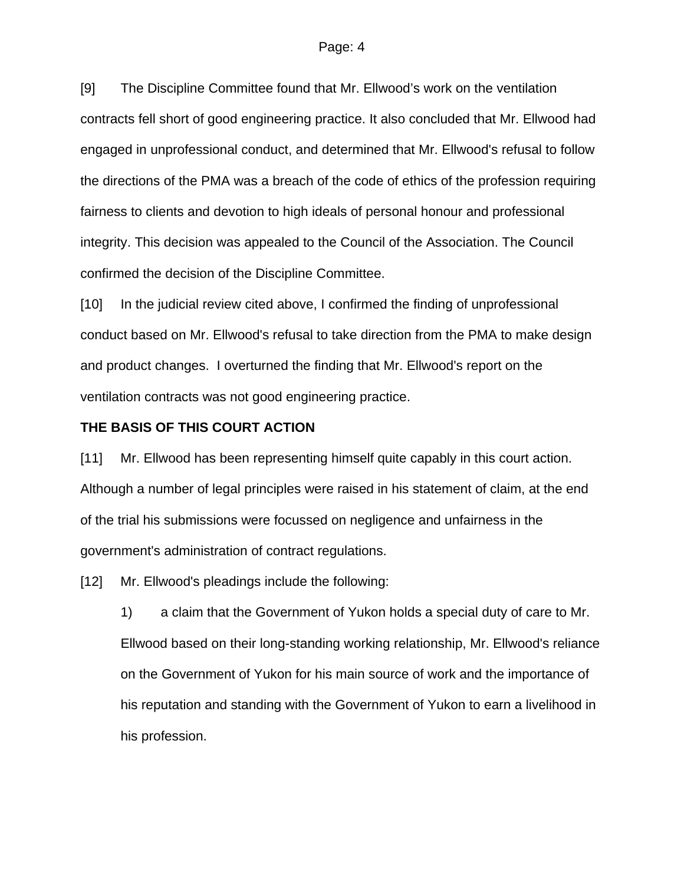#### Page: 4

[9] The Discipline Committee found that Mr. Ellwood's work on the ventilation contracts fell short of good engineering practice. It also concluded that Mr. Ellwood had engaged in unprofessional conduct, and determined that Mr. Ellwood's refusal to follow the directions of the PMA was a breach of the code of ethics of the profession requiring fairness to clients and devotion to high ideals of personal honour and professional integrity. This decision was appealed to the Council of the Association. The Council confirmed the decision of the Discipline Committee.

[10] In the judicial review cited above, I confirmed the finding of unprofessional conduct based on Mr. Ellwood's refusal to take direction from the PMA to make design and product changes. I overturned the finding that Mr. Ellwood's report on the ventilation contracts was not good engineering practice.

### **THE BASIS OF THIS COURT ACTION**

[11] Mr. Ellwood has been representing himself quite capably in this court action. Although a number of legal principles were raised in his statement of claim, at the end of the trial his submissions were focussed on negligence and unfairness in the government's administration of contract regulations.

[12] Mr. Ellwood's pleadings include the following:

1) a claim that the Government of Yukon holds a special duty of care to Mr. Ellwood based on their long-standing working relationship, Mr. Ellwood's reliance on the Government of Yukon for his main source of work and the importance of his reputation and standing with the Government of Yukon to earn a livelihood in his profession.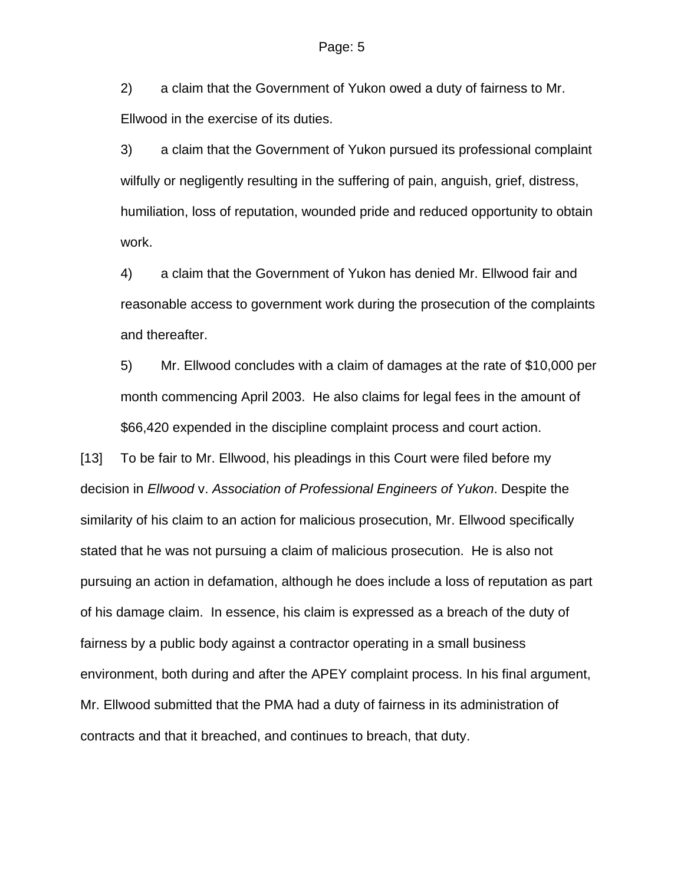2) a claim that the Government of Yukon owed a duty of fairness to Mr. Ellwood in the exercise of its duties.

3) a claim that the Government of Yukon pursued its professional complaint wilfully or negligently resulting in the suffering of pain, anguish, grief, distress, humiliation, loss of reputation, wounded pride and reduced opportunity to obtain work.

4) a claim that the Government of Yukon has denied Mr. Ellwood fair and reasonable access to government work during the prosecution of the complaints and thereafter.

5) Mr. Ellwood concludes with a claim of damages at the rate of \$10,000 per month commencing April 2003. He also claims for legal fees in the amount of \$66,420 expended in the discipline complaint process and court action.

[13] To be fair to Mr. Ellwood, his pleadings in this Court were filed before my decision in *Ellwood* v. *Association of Professional Engineers of Yukon*. Despite the similarity of his claim to an action for malicious prosecution, Mr. Ellwood specifically stated that he was not pursuing a claim of malicious prosecution. He is also not pursuing an action in defamation, although he does include a loss of reputation as part of his damage claim. In essence, his claim is expressed as a breach of the duty of fairness by a public body against a contractor operating in a small business environment, both during and after the APEY complaint process. In his final argument, Mr. Ellwood submitted that the PMA had a duty of fairness in its administration of contracts and that it breached, and continues to breach, that duty.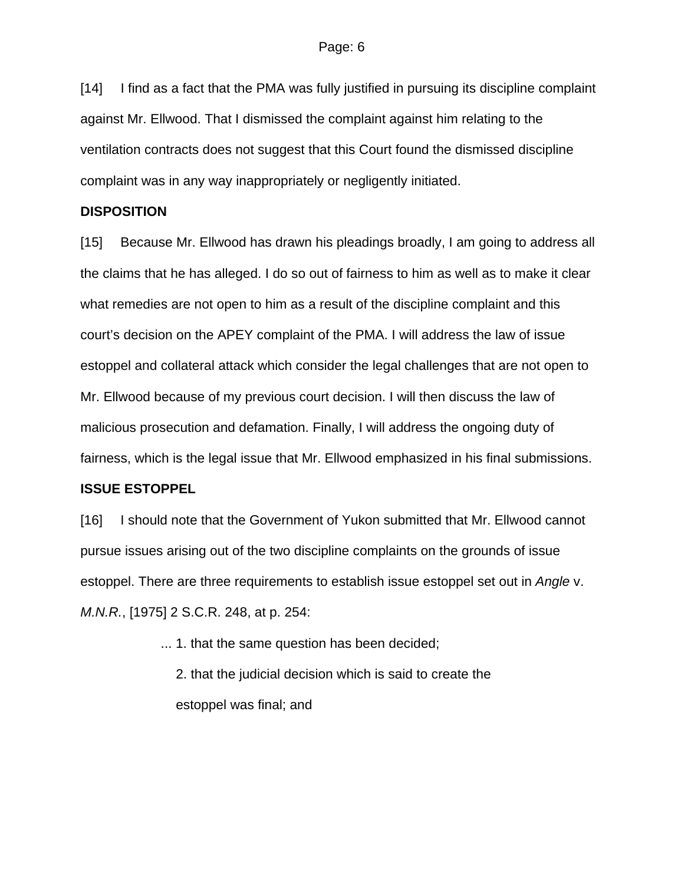[14] I find as a fact that the PMA was fully justified in pursuing its discipline complaint against Mr. Ellwood. That I dismissed the complaint against him relating to the ventilation contracts does not suggest that this Court found the dismissed discipline complaint was in any way inappropriately or negligently initiated.

#### **DISPOSITION**

[15] Because Mr. Ellwood has drawn his pleadings broadly, I am going to address all the claims that he has alleged. I do so out of fairness to him as well as to make it clear what remedies are not open to him as a result of the discipline complaint and this court's decision on the APEY complaint of the PMA. I will address the law of issue estoppel and collateral attack which consider the legal challenges that are not open to Mr. Ellwood because of my previous court decision. I will then discuss the law of malicious prosecution and defamation. Finally, I will address the ongoing duty of fairness, which is the legal issue that Mr. Ellwood emphasized in his final submissions.

### **ISSUE ESTOPPEL**

[16] I should note that the Government of Yukon submitted that Mr. Ellwood cannot pursue issues arising out of the two discipline complaints on the grounds of issue estoppel. There are three requirements to establish issue estoppel set out in *Angle* v. *M.N.R.*, [1975] 2 S.C.R. 248, at p. 254:

... 1. that the same question has been decided;

2. that the judicial decision which is said to create the estoppel was final; and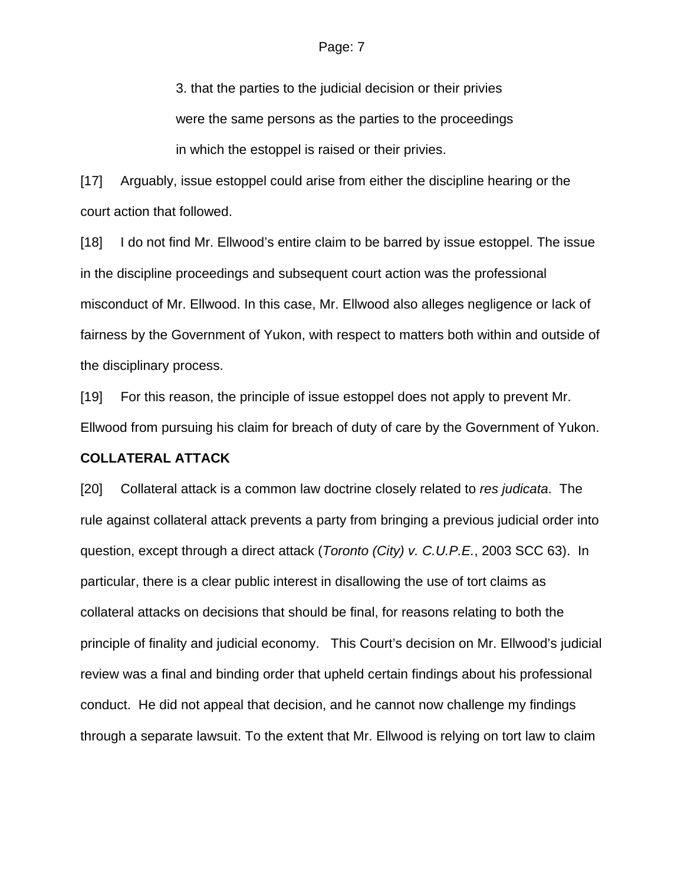3. that the parties to the judicial decision or their privies were the same persons as the parties to the proceedings in which the estoppel is raised or their privies.

[17] Arguably, issue estoppel could arise from either the discipline hearing or the court action that followed.

[18] I do not find Mr. Ellwood's entire claim to be barred by issue estoppel. The issue in the discipline proceedings and subsequent court action was the professional misconduct of Mr. Ellwood. In this case, Mr. Ellwood also alleges negligence or lack of fairness by the Government of Yukon, with respect to matters both within and outside of the disciplinary process.

[19] For this reason, the principle of issue estoppel does not apply to prevent Mr. Ellwood from pursuing his claim for breach of duty of care by the Government of Yukon.

#### **COLLATERAL ATTACK**

[20] Collateral attack is a common law doctrine closely related to *res judicata*. The rule against collateral attack prevents a party from bringing a previous judicial order into question, except through a direct attack (*Toronto (City) v. C.U.P.E.*, 2003 SCC 63). In particular, there is a clear public interest in disallowing the use of tort claims as collateral attacks on decisions that should be final, for reasons relating to both the principle of finality and judicial economy. This Court's decision on Mr. Ellwood's judicial review was a final and binding order that upheld certain findings about his professional conduct. He did not appeal that decision, and he cannot now challenge my findings through a separate lawsuit. To the extent that Mr. Ellwood is relying on tort law to claim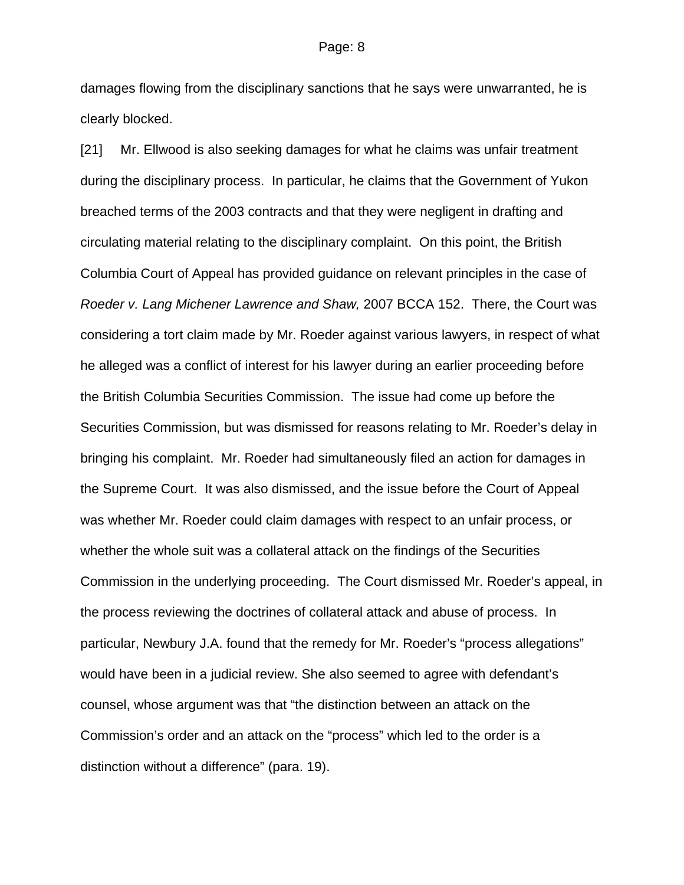damages flowing from the disciplinary sanctions that he says were unwarranted, he is clearly blocked.

[21] Mr. Ellwood is also seeking damages for what he claims was unfair treatment during the disciplinary process. In particular, he claims that the Government of Yukon breached terms of the 2003 contracts and that they were negligent in drafting and circulating material relating to the disciplinary complaint. On this point, the British Columbia Court of Appeal has provided guidance on relevant principles in the case of *Roeder v. Lang Michener Lawrence and Shaw,* 2007 BCCA 152. There, the Court was considering a tort claim made by Mr. Roeder against various lawyers, in respect of what he alleged was a conflict of interest for his lawyer during an earlier proceeding before the British Columbia Securities Commission. The issue had come up before the Securities Commission, but was dismissed for reasons relating to Mr. Roeder's delay in bringing his complaint. Mr. Roeder had simultaneously filed an action for damages in the Supreme Court. It was also dismissed, and the issue before the Court of Appeal was whether Mr. Roeder could claim damages with respect to an unfair process, or whether the whole suit was a collateral attack on the findings of the Securities Commission in the underlying proceeding. The Court dismissed Mr. Roeder's appeal, in the process reviewing the doctrines of collateral attack and abuse of process. In particular, Newbury J.A. found that the remedy for Mr. Roeder's "process allegations" would have been in a judicial review. She also seemed to agree with defendant's counsel, whose argument was that "the distinction between an attack on the Commission's order and an attack on the "process" which led to the order is a distinction without a difference" (para. 19).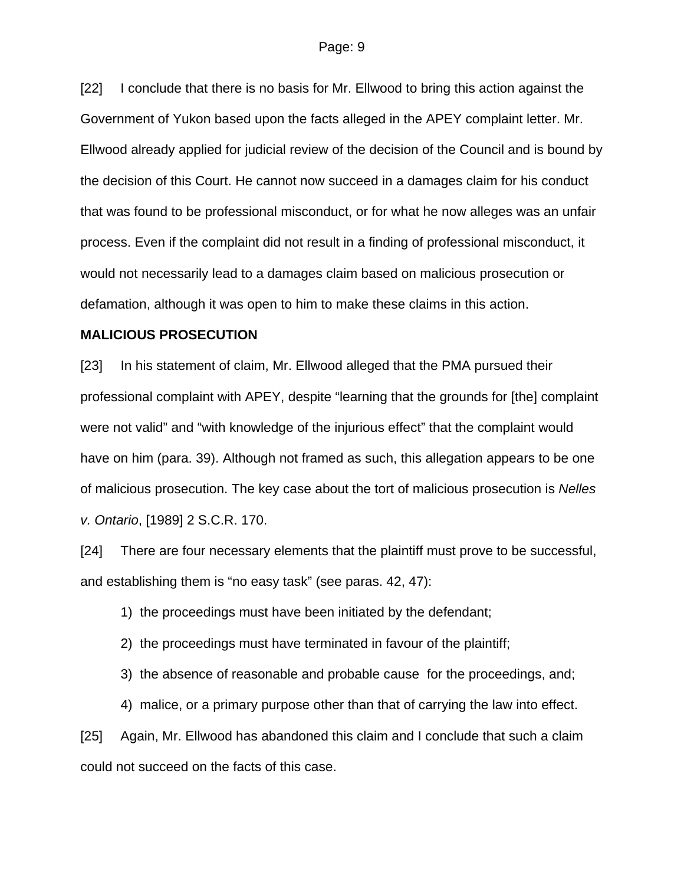[22] I conclude that there is no basis for Mr. Ellwood to bring this action against the Government of Yukon based upon the facts alleged in the APEY complaint letter. Mr. Ellwood already applied for judicial review of the decision of the Council and is bound by the decision of this Court. He cannot now succeed in a damages claim for his conduct that was found to be professional misconduct, or for what he now alleges was an unfair process. Even if the complaint did not result in a finding of professional misconduct, it would not necessarily lead to a damages claim based on malicious prosecution or defamation, although it was open to him to make these claims in this action.

#### **MALICIOUS PROSECUTION**

[23] In his statement of claim, Mr. Ellwood alleged that the PMA pursued their professional complaint with APEY, despite "learning that the grounds for [the] complaint were not valid" and "with knowledge of the injurious effect" that the complaint would have on him (para. 39). Although not framed as such, this allegation appears to be one of malicious prosecution. The key case about the tort of malicious prosecution is *Nelles v. Ontario*, [1989] 2 S.C.R. 170.

[24] There are four necessary elements that the plaintiff must prove to be successful, and establishing them is "no easy task" (see paras. 42, 47):

1) the proceedings must have been initiated by the defendant;

2) the proceedings must have terminated in favour of the plaintiff;

3) the absence of reasonable and probable cause for the proceedings, and;

4) malice, or a primary purpose other than that of carrying the law into effect.

[25] Again, Mr. Ellwood has abandoned this claim and I conclude that such a claim could not succeed on the facts of this case.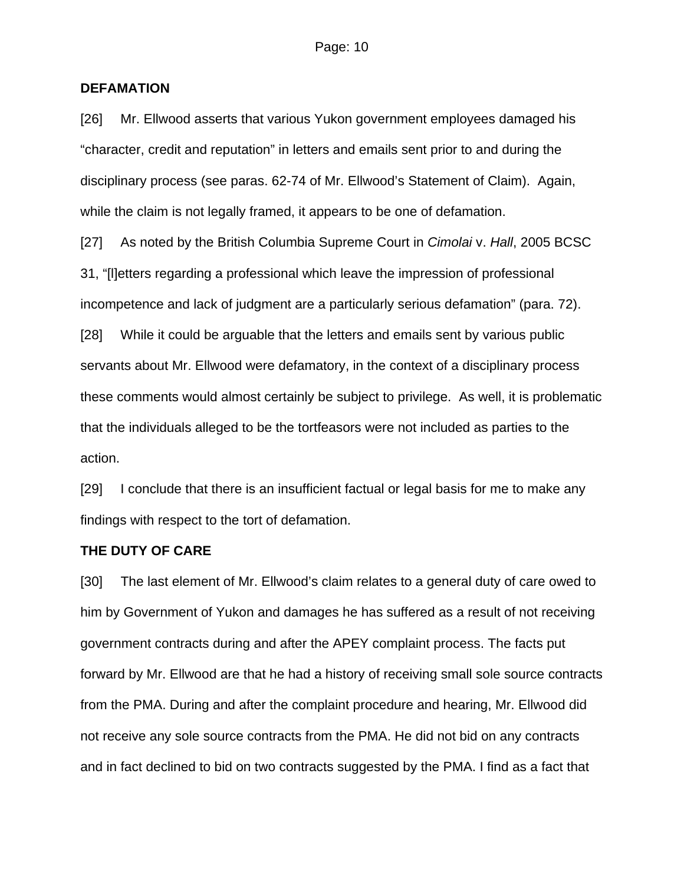## **DEFAMATION**

[26] Mr. Ellwood asserts that various Yukon government employees damaged his "character, credit and reputation" in letters and emails sent prior to and during the disciplinary process (see paras. 62-74 of Mr. Ellwood's Statement of Claim). Again, while the claim is not legally framed, it appears to be one of defamation.

[27] As noted by the British Columbia Supreme Court in *Cimolai* v. *Hall*, 2005 BCSC 31, "[l]etters regarding a professional which leave the impression of professional incompetence and lack of judgment are a particularly serious defamation" (para. 72).

[28] While it could be arguable that the letters and emails sent by various public servants about Mr. Ellwood were defamatory, in the context of a disciplinary process these comments would almost certainly be subject to privilege. As well, it is problematic that the individuals alleged to be the tortfeasors were not included as parties to the action.

[29] I conclude that there is an insufficient factual or legal basis for me to make any findings with respect to the tort of defamation.

#### **THE DUTY OF CARE**

[30] The last element of Mr. Ellwood's claim relates to a general duty of care owed to him by Government of Yukon and damages he has suffered as a result of not receiving government contracts during and after the APEY complaint process. The facts put forward by Mr. Ellwood are that he had a history of receiving small sole source contracts from the PMA. During and after the complaint procedure and hearing, Mr. Ellwood did not receive any sole source contracts from the PMA. He did not bid on any contracts and in fact declined to bid on two contracts suggested by the PMA. I find as a fact that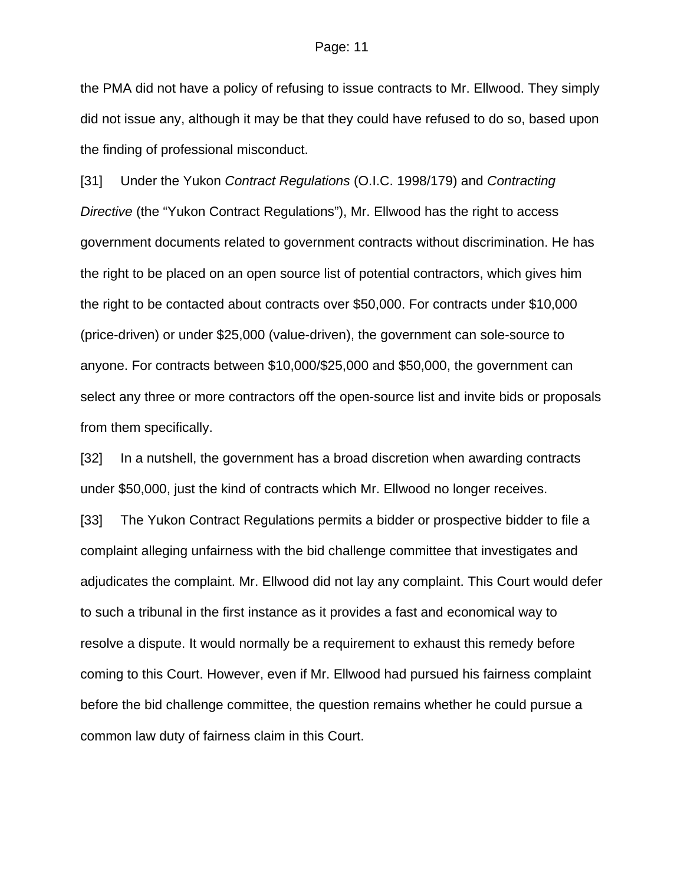#### Page: 11

the PMA did not have a policy of refusing to issue contracts to Mr. Ellwood. They simply did not issue any, although it may be that they could have refused to do so, based upon the finding of professional misconduct.

[31] Under the Yukon *Contract Regulations* (O.I.C. 1998/179) and *Contracting Directive* (the "Yukon Contract Regulations"), Mr. Ellwood has the right to access government documents related to government contracts without discrimination. He has the right to be placed on an open source list of potential contractors, which gives him the right to be contacted about contracts over \$50,000. For contracts under \$10,000 (price-driven) or under \$25,000 (value-driven), the government can sole-source to anyone. For contracts between \$10,000/\$25,000 and \$50,000, the government can select any three or more contractors off the open-source list and invite bids or proposals from them specifically.

[32] In a nutshell, the government has a broad discretion when awarding contracts under \$50,000, just the kind of contracts which Mr. Ellwood no longer receives.

[33] The Yukon Contract Regulations permits a bidder or prospective bidder to file a complaint alleging unfairness with the bid challenge committee that investigates and adjudicates the complaint. Mr. Ellwood did not lay any complaint. This Court would defer to such a tribunal in the first instance as it provides a fast and economical way to resolve a dispute. It would normally be a requirement to exhaust this remedy before coming to this Court. However, even if Mr. Ellwood had pursued his fairness complaint before the bid challenge committee, the question remains whether he could pursue a common law duty of fairness claim in this Court.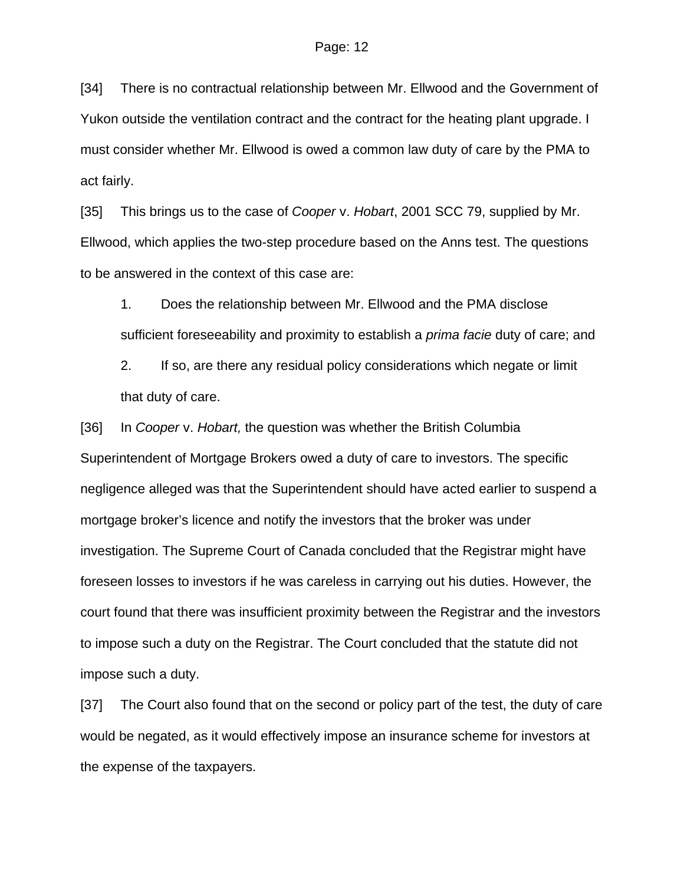[34] There is no contractual relationship between Mr. Ellwood and the Government of Yukon outside the ventilation contract and the contract for the heating plant upgrade. I must consider whether Mr. Ellwood is owed a common law duty of care by the PMA to act fairly.

[35] This brings us to the case of *Cooper* v. *Hobart*, 2001 SCC 79, supplied by Mr. Ellwood, which applies the two-step procedure based on the Anns test. The questions to be answered in the context of this case are:

1. Does the relationship between Mr. Ellwood and the PMA disclose sufficient foreseeability and proximity to establish a *prima facie* duty of care; and

2. If so, are there any residual policy considerations which negate or limit that duty of care.

[36] In *Cooper* v. *Hobart,* the question was whether the British Columbia Superintendent of Mortgage Brokers owed a duty of care to investors. The specific negligence alleged was that the Superintendent should have acted earlier to suspend a mortgage broker's licence and notify the investors that the broker was under investigation. The Supreme Court of Canada concluded that the Registrar might have foreseen losses to investors if he was careless in carrying out his duties. However, the court found that there was insufficient proximity between the Registrar and the investors to impose such a duty on the Registrar. The Court concluded that the statute did not impose such a duty.

[37] The Court also found that on the second or policy part of the test, the duty of care would be negated, as it would effectively impose an insurance scheme for investors at the expense of the taxpayers.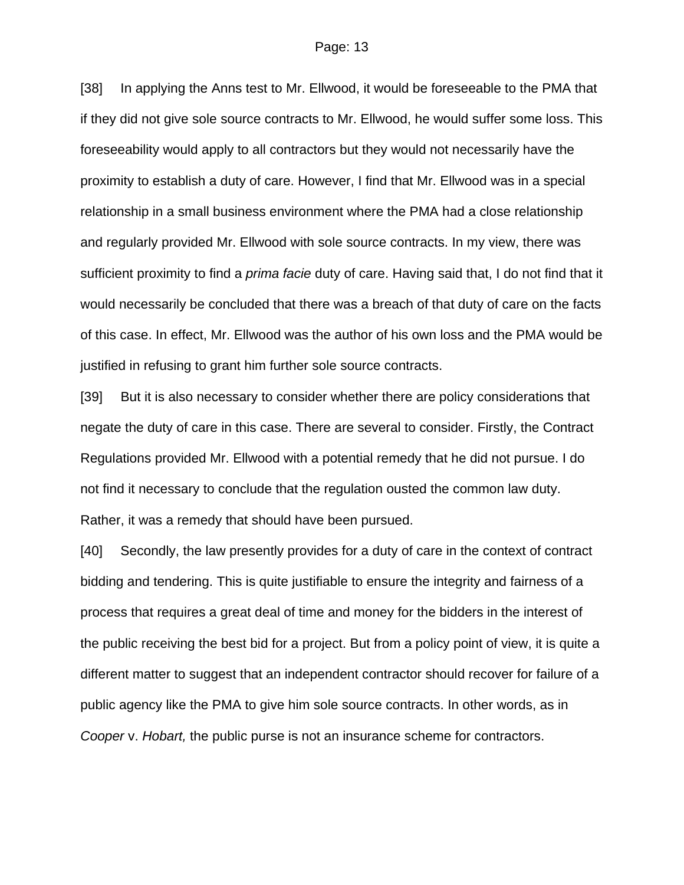[38] In applying the Anns test to Mr. Ellwood, it would be foreseeable to the PMA that if they did not give sole source contracts to Mr. Ellwood, he would suffer some loss. This foreseeability would apply to all contractors but they would not necessarily have the proximity to establish a duty of care. However, I find that Mr. Ellwood was in a special relationship in a small business environment where the PMA had a close relationship and regularly provided Mr. Ellwood with sole source contracts. In my view, there was sufficient proximity to find a *prima facie* duty of care. Having said that, I do not find that it would necessarily be concluded that there was a breach of that duty of care on the facts of this case. In effect, Mr. Ellwood was the author of his own loss and the PMA would be justified in refusing to grant him further sole source contracts.

[39] But it is also necessary to consider whether there are policy considerations that negate the duty of care in this case. There are several to consider. Firstly, the Contract Regulations provided Mr. Ellwood with a potential remedy that he did not pursue. I do not find it necessary to conclude that the regulation ousted the common law duty. Rather, it was a remedy that should have been pursued.

[40] Secondly, the law presently provides for a duty of care in the context of contract bidding and tendering. This is quite justifiable to ensure the integrity and fairness of a process that requires a great deal of time and money for the bidders in the interest of the public receiving the best bid for a project. But from a policy point of view, it is quite a different matter to suggest that an independent contractor should recover for failure of a public agency like the PMA to give him sole source contracts. In other words, as in *Cooper* v. *Hobart,* the public purse is not an insurance scheme for contractors.